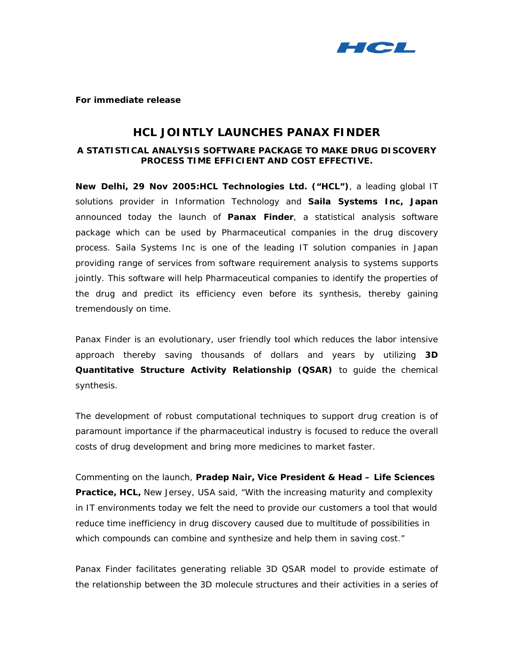

**For immediate release** 

# **HCL JOINTLY LAUNCHES PANAX FINDER**

## *A STATISTICAL ANALYSIS SOFTWARE PACKAGE TO MAKE DRUG DISCOVERY PROCESS TIME EFFICIENT AND COST EFFECTIVE.*

**New Delhi, 29 Nov 2005:HCL Technologies Ltd. ("HCL")**, a leading global IT solutions provider in Information Technology and **Saila Systems Inc, Japan** announced today the launch of **Panax Finder**, a statistical analysis software package which can be used by Pharmaceutical companies in the drug discovery process. Saila Systems Inc is one of the leading IT solution companies in Japan providing range of services from software requirement analysis to systems supports jointly. This software will help Pharmaceutical companies to identify the properties of the drug and predict its efficiency even before its synthesis, thereby gaining tremendously on time.

Panax Finder is an evolutionary, user friendly tool which reduces the labor intensive approach thereby saving thousands of dollars and years by utilizing **3D Quantitative Structure Activity Relationship (QSAR)** to guide the chemical synthesis.

The development of robust computational techniques to support drug creation is of paramount importance if the pharmaceutical industry is focused to reduce the overall costs of drug development and bring more medicines to market faster.

Commenting on the launch, **Pradep Nair, Vice President & Head – Life Sciences Practice, HCL,** New Jersey, USA said, "With the increasing maturity and complexity in IT environments today we felt the need to provide our customers a tool that would reduce time inefficiency in drug discovery caused due to multitude of possibilities in which compounds can combine and synthesize and help them in saving cost."

Panax Finder facilitates generating reliable 3D QSAR model to provide estimate of the relationship between the 3D molecule structures and their activities in a series of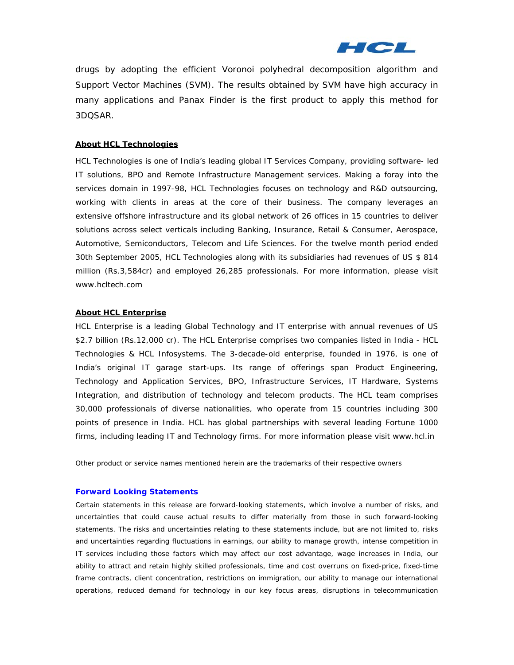

drugs by adopting the efficient Voronoi polyhedral decomposition algorithm and Support Vector Machines (SVM). The results obtained by SVM have high accuracy in many applications and Panax Finder is the first product to apply this method for 3DQSAR.

#### **About HCL Technologies**

HCL Technologies is one of India's leading global IT Services Company, providing software- led IT solutions, BPO and Remote Infrastructure Management services. Making a foray into the services domain in 1997-98, HCL Technologies focuses on technology and R&D outsourcing, working with clients in areas at the core of their business. The company leverages an extensive offshore infrastructure and its global network of 26 offices in 15 countries to deliver solutions across select verticals including Banking, Insurance, Retail & Consumer, Aerospace, Automotive, Semiconductors, Telecom and Life Sciences. For the twelve month period ended 30th September 2005, HCL Technologies along with its subsidiaries had revenues of US \$ 814 million (Rs.3,584cr) and employed 26,285 professionals. For more information, please visit [www.hcltech.com](http://www.hcltech.com/)

### **About HCL Enterprise**

HCL Enterprise is a leading Global Technology and IT enterprise with annual revenues of US \$2.7 billion (Rs.12,000 cr). The HCL Enterprise comprises two companies listed in India - HCL Technologies & HCL Infosystems. The 3-decade-old enterprise, founded in 1976, is one of India's original IT garage start-ups. Its range of offerings span Product Engineering, Technology and Application Services, BPO, Infrastructure Services, IT Hardware, Systems Integration, and distribution of technology and telecom products. The HCL team comprises 30,000 professionals of diverse nationalities, who operate from 15 countries including 300 points of presence in India. HCL has global partnerships with several leading Fortune 1000 firms, including leading IT and Technology firms. For more information please visit [www.hcl.in](http://www.hcl.in/) 

*Other product or service names mentioned herein are the trademarks of their respective owners* 

#### *Forward Looking Statements*

*Certain statements in this release are forward-looking statements, which involve a number of risks, and*  uncertainties that could cause actual results to differ materially from those in such forward-looking *statements. The risks and uncertainties relating to these statements include, but are not limited to, risks and uncertainties regarding fluctuations in earnings, our ability to manage growth, intense competition in IT services including those factors which may affect our cost advantage, wage increases in India, our ability to attract and retain highly skilled professionals, time and cost overruns on fixed-price, fixed-time frame contracts, client concentration, restrictions on immigration, our ability to manage our international operations, reduced demand for technology in our key focus areas, disruptions in telecommunication*